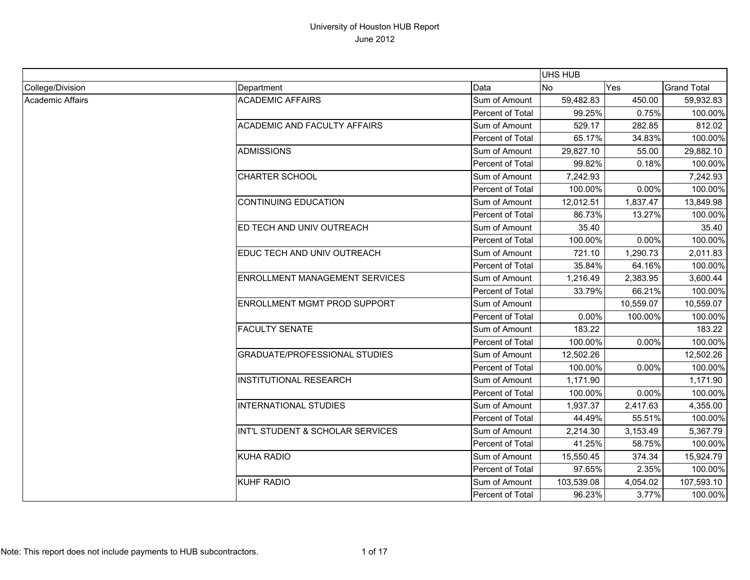|                  |                                       |                  | UHS HUB    |            |                    |
|------------------|---------------------------------------|------------------|------------|------------|--------------------|
| College/Division | Department                            | Data             | No         | <b>Yes</b> | <b>Grand Total</b> |
| Academic Affairs | <b>ACADEMIC AFFAIRS</b>               | Sum of Amount    | 59,482.83  | 450.00     | 59,932.83          |
|                  |                                       | Percent of Total | 99.25%     | 0.75%      | 100.00%            |
|                  | <b>ACADEMIC AND FACULTY AFFAIRS</b>   | Sum of Amount    | 529.17     | 282.85     | 812.02             |
|                  |                                       | Percent of Total | 65.17%     | 34.83%     | 100.00%            |
|                  | <b>ADMISSIONS</b>                     | Sum of Amount    | 29,827.10  | 55.00      | 29,882.10          |
|                  |                                       | Percent of Total | 99.82%     | 0.18%      | 100.00%            |
|                  | <b>CHARTER SCHOOL</b>                 | Sum of Amount    | 7,242.93   |            | 7,242.93           |
|                  |                                       | Percent of Total | 100.00%    | 0.00%      | 100.00%            |
|                  | <b>CONTINUING EDUCATION</b>           | Sum of Amount    | 12,012.51  | 1,837.47   | 13,849.98          |
|                  |                                       | Percent of Total | 86.73%     | 13.27%     | 100.00%            |
|                  | ED TECH AND UNIV OUTREACH             | Sum of Amount    | 35.40      |            | 35.40              |
|                  |                                       | Percent of Total | 100.00%    | 0.00%      | 100.00%            |
|                  | EDUC TECH AND UNIV OUTREACH           | Sum of Amount    | 721.10     | 1,290.73   | 2,011.83           |
|                  |                                       | Percent of Total | 35.84%     | 64.16%     | 100.00%            |
|                  | <b>ENROLLMENT MANAGEMENT SERVICES</b> | Sum of Amount    | 1,216.49   | 2,383.95   | 3,600.44           |
|                  |                                       | Percent of Total | 33.79%     | 66.21%     | 100.00%            |
|                  | ENROLLMENT MGMT PROD SUPPORT          | Sum of Amount    |            | 10,559.07  | 10,559.07          |
|                  |                                       | Percent of Total | 0.00%      | 100.00%    | 100.00%            |
|                  | <b>FACULTY SENATE</b>                 | Sum of Amount    | 183.22     |            | 183.22             |
|                  |                                       | Percent of Total | 100.00%    | 0.00%      | 100.00%            |
|                  | GRADUATE/PROFESSIONAL STUDIES         | Sum of Amount    | 12,502.26  |            | 12,502.26          |
|                  |                                       | Percent of Total | 100.00%    | 0.00%      | 100.00%            |
|                  | <b>INSTITUTIONAL RESEARCH</b>         | Sum of Amount    | 1,171.90   |            | 1,171.90           |
|                  |                                       | Percent of Total | 100.00%    | 0.00%      | 100.00%            |
|                  | <b>INTERNATIONAL STUDIES</b>          | Sum of Amount    | 1,937.37   | 2,417.63   | 4,355.00           |
|                  |                                       | Percent of Total | 44.49%     | 55.51%     | 100.00%            |
|                  | INT'L STUDENT & SCHOLAR SERVICES      | Sum of Amount    | 2,214.30   | 3,153.49   | 5,367.79           |
|                  |                                       | Percent of Total | 41.25%     | 58.75%     | 100.00%            |
|                  | <b>KUHA RADIO</b>                     | Sum of Amount    | 15,550.45  | 374.34     | 15,924.79          |
|                  |                                       | Percent of Total | 97.65%     | 2.35%      | 100.00%            |
|                  | <b>KUHF RADIO</b>                     | Sum of Amount    | 103,539.08 | 4,054.02   | 107,593.10         |
|                  |                                       | Percent of Total | 96.23%     | 3.77%      | 100.00%            |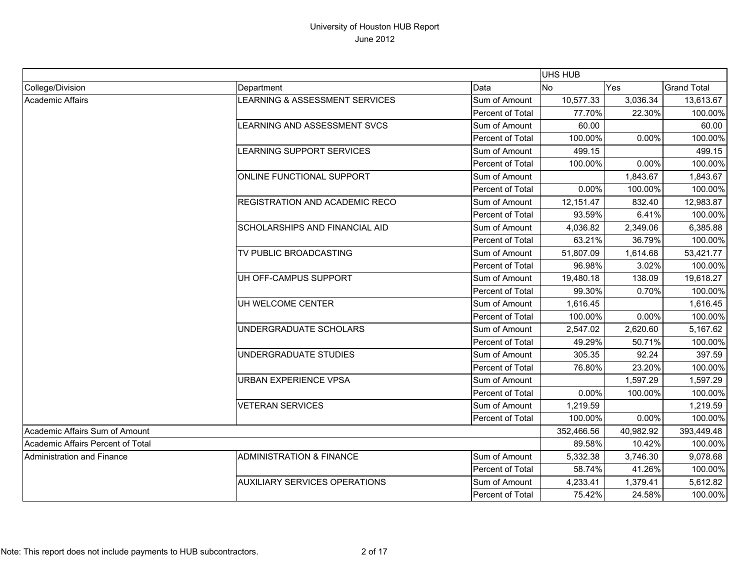|                                   |                                       |                         | UHS HUB    |           |                    |
|-----------------------------------|---------------------------------------|-------------------------|------------|-----------|--------------------|
| College/Division                  | Department                            | Data                    | <b>No</b>  | Yes       | <b>Grand Total</b> |
| Academic Affairs                  | LEARNING & ASSESSMENT SERVICES        | Sum of Amount           | 10,577.33  | 3,036.34  | 13,613.67          |
|                                   |                                       | Percent of Total        | 77.70%     | 22.30%    | 100.00%            |
|                                   | LEARNING AND ASSESSMENT SVCS          | Sum of Amount           | 60.00      |           | 60.00              |
|                                   |                                       | Percent of Total        | 100.00%    | 0.00%     | 100.00%            |
|                                   | LEARNING SUPPORT SERVICES             | Sum of Amount           | 499.15     |           | 499.15             |
|                                   |                                       | Percent of Total        | 100.00%    | 0.00%     | 100.00%            |
|                                   | ONLINE FUNCTIONAL SUPPORT             | Sum of Amount           |            | 1,843.67  | 1,843.67           |
|                                   |                                       | Percent of Total        | 0.00%      | 100.00%   | 100.00%            |
|                                   | <b>REGISTRATION AND ACADEMIC RECO</b> | Sum of Amount           | 12,151.47  | 832.40    | 12,983.87          |
|                                   |                                       | Percent of Total        | 93.59%     | 6.41%     | 100.00%            |
|                                   | <b>SCHOLARSHIPS AND FINANCIAL AID</b> | Sum of Amount           | 4,036.82   | 2,349.06  | 6,385.88           |
|                                   |                                       | Percent of Total        | 63.21%     | 36.79%    | 100.00%            |
|                                   | TV PUBLIC BROADCASTING                | Sum of Amount           | 51,807.09  | 1,614.68  | 53,421.77          |
|                                   |                                       | Percent of Total        | 96.98%     | 3.02%     | 100.00%            |
|                                   | UH OFF-CAMPUS SUPPORT                 | Sum of Amount           | 19,480.18  | 138.09    | 19,618.27          |
|                                   |                                       | Percent of Total        | 99.30%     | 0.70%     | 100.00%            |
|                                   | UH WELCOME CENTER                     | Sum of Amount           | 1,616.45   |           | 1,616.45           |
|                                   |                                       | Percent of Total        | 100.00%    | 0.00%     | 100.00%            |
|                                   | UNDERGRADUATE SCHOLARS                | Sum of Amount           | 2,547.02   | 2,620.60  | 5,167.62           |
|                                   |                                       | Percent of Total        | 49.29%     | 50.71%    | 100.00%            |
|                                   | UNDERGRADUATE STUDIES                 | Sum of Amount           | 305.35     | 92.24     | 397.59             |
|                                   |                                       | Percent of Total        | 76.80%     | 23.20%    | 100.00%            |
|                                   | <b>URBAN EXPERIENCE VPSA</b>          | Sum of Amount           |            | 1,597.29  | 1,597.29           |
|                                   |                                       | Percent of Total        | 0.00%      | 100.00%   | 100.00%            |
|                                   | <b>VETERAN SERVICES</b>               | Sum of Amount           | 1,219.59   |           | 1,219.59           |
|                                   |                                       | Percent of Total        | 100.00%    | 0.00%     | 100.00%            |
| Academic Affairs Sum of Amount    |                                       |                         | 352,466.56 | 40,982.92 | 393,449.48         |
| Academic Affairs Percent of Total |                                       |                         | 89.58%     | 10.42%    | 100.00%            |
| Administration and Finance        | <b>ADMINISTRATION &amp; FINANCE</b>   | Sum of Amount           | 5,332.38   | 3,746.30  | 9,078.68           |
|                                   |                                       | Percent of Total        | 58.74%     | 41.26%    | 100.00%            |
|                                   | <b>AUXILIARY SERVICES OPERATIONS</b>  | Sum of Amount           | 4,233.41   | 1,379.41  | 5,612.82           |
|                                   |                                       | <b>Percent of Total</b> | 75.42%     | 24.58%    | 100.00%            |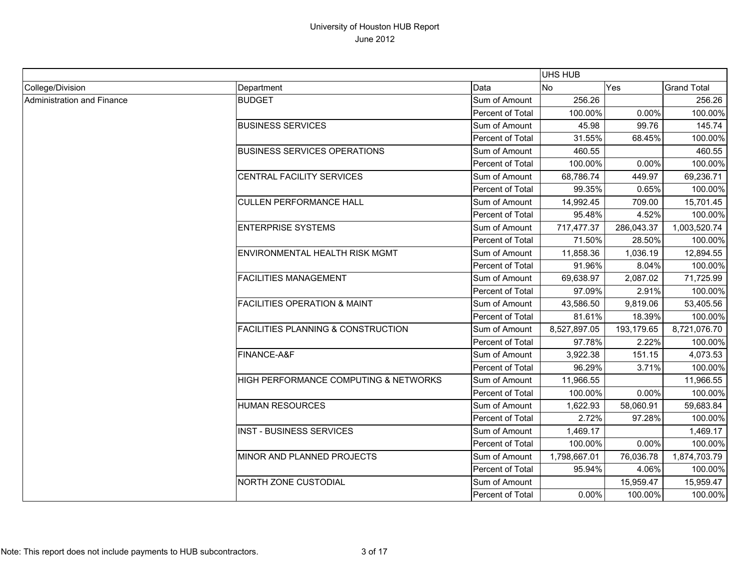|                            |                                               |                         | UHS HUB      |            |                    |
|----------------------------|-----------------------------------------------|-------------------------|--------------|------------|--------------------|
| College/Division           | Department                                    | Data                    | <b>No</b>    | Yes        | <b>Grand Total</b> |
| Administration and Finance | <b>BUDGET</b>                                 | Sum of Amount           | 256.26       |            | 256.26             |
|                            |                                               | Percent of Total        | 100.00%      | 0.00%      | 100.00%            |
|                            | <b>BUSINESS SERVICES</b>                      | Sum of Amount           | 45.98        | 99.76      | 145.74             |
|                            |                                               | Percent of Total        | 31.55%       | 68.45%     | 100.00%            |
|                            | <b>BUSINESS SERVICES OPERATIONS</b>           | Sum of Amount           | 460.55       |            | 460.55             |
|                            |                                               | Percent of Total        | 100.00%      | 0.00%      | 100.00%            |
|                            | <b>CENTRAL FACILITY SERVICES</b>              | Sum of Amount           | 68,786.74    | 449.97     | 69,236.71          |
|                            |                                               | <b>Percent of Total</b> | 99.35%       | 0.65%      | 100.00%            |
|                            | <b>CULLEN PERFORMANCE HALL</b>                | Sum of Amount           | 14,992.45    | 709.00     | 15,701.45          |
|                            |                                               | Percent of Total        | 95.48%       | 4.52%      | 100.00%            |
|                            | <b>ENTERPRISE SYSTEMS</b>                     | Sum of Amount           | 717,477.37   | 286,043.37 | 1,003,520.74       |
|                            |                                               | Percent of Total        | 71.50%       | 28.50%     | 100.00%            |
|                            | ENVIRONMENTAL HEALTH RISK MGMT                | Sum of Amount           | 11,858.36    | 1,036.19   | 12,894.55          |
|                            |                                               | Percent of Total        | 91.96%       | 8.04%      | 100.00%            |
|                            | <b>FACILITIES MANAGEMENT</b>                  | Sum of Amount           | 69,638.97    | 2,087.02   | 71,725.99          |
|                            |                                               | Percent of Total        | 97.09%       | 2.91%      | 100.00%            |
|                            | <b>FACILITIES OPERATION &amp; MAINT</b>       | Sum of Amount           | 43,586.50    | 9,819.06   | 53,405.56          |
|                            |                                               | Percent of Total        | 81.61%       | 18.39%     | 100.00%            |
|                            | <b>FACILITIES PLANNING &amp; CONSTRUCTION</b> | Sum of Amount           | 8,527,897.05 | 193,179.65 | 8,721,076.70       |
|                            |                                               | Percent of Total        | 97.78%       | 2.22%      | 100.00%            |
|                            | FINANCE-A&F                                   | Sum of Amount           | 3,922.38     | 151.15     | 4,073.53           |
|                            |                                               | Percent of Total        | 96.29%       | 3.71%      | 100.00%            |
|                            | HIGH PERFORMANCE COMPUTING & NETWORKS         | Sum of Amount           | 11,966.55    |            | 11,966.55          |
|                            |                                               | Percent of Total        | 100.00%      | 0.00%      | 100.00%            |
|                            | <b>HUMAN RESOURCES</b>                        | Sum of Amount           | 1,622.93     | 58,060.91  | 59,683.84          |
|                            |                                               | Percent of Total        | 2.72%        | 97.28%     | 100.00%            |
|                            | <b>INST - BUSINESS SERVICES</b>               | Sum of Amount           | 1,469.17     |            | 1,469.17           |
|                            |                                               | Percent of Total        | 100.00%      | 0.00%      | 100.00%            |
|                            | MINOR AND PLANNED PROJECTS                    | Sum of Amount           | 1,798,667.01 | 76,036.78  | 1,874,703.79       |
|                            |                                               | Percent of Total        | 95.94%       | 4.06%      | 100.00%            |
|                            | NORTH ZONE CUSTODIAL                          | Sum of Amount           |              | 15,959.47  | 15,959.47          |
|                            |                                               | Percent of Total        | 0.00%        | 100.00%    | 100.00%            |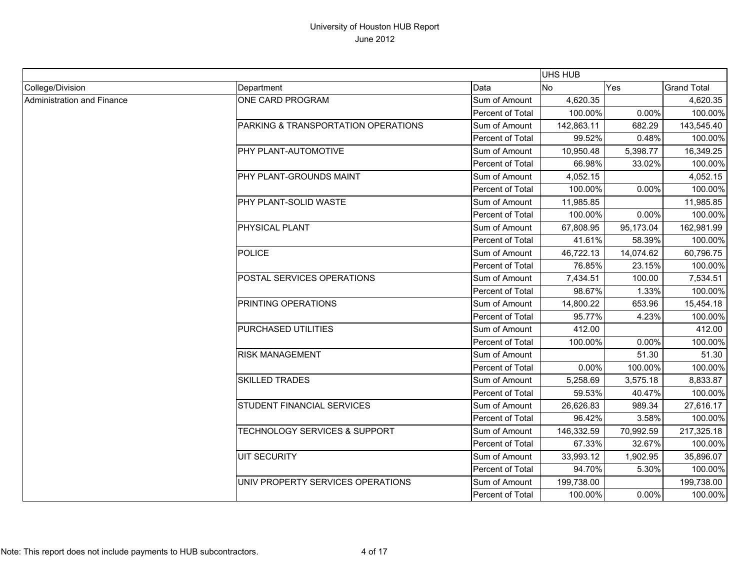|                            |                                          |                  | <b>UHS HUB</b> |           |                    |
|----------------------------|------------------------------------------|------------------|----------------|-----------|--------------------|
| College/Division           | Department                               | Data             | No             | Yes       | <b>Grand Total</b> |
| Administration and Finance | ONE CARD PROGRAM                         | Sum of Amount    | 4,620.35       |           | 4,620.35           |
|                            |                                          | Percent of Total | 100.00%        | 0.00%     | 100.00%            |
|                            | PARKING & TRANSPORTATION OPERATIONS      | Sum of Amount    | 142,863.11     | 682.29    | 143,545.40         |
|                            |                                          | Percent of Total | 99.52%         | 0.48%     | 100.00%            |
|                            | PHY PLANT-AUTOMOTIVE                     | Sum of Amount    | 10,950.48      | 5,398.77  | 16,349.25          |
|                            |                                          | Percent of Total | 66.98%         | 33.02%    | 100.00%            |
|                            | PHY PLANT-GROUNDS MAINT                  | Sum of Amount    | 4,052.15       |           | 4,052.15           |
|                            |                                          | Percent of Total | 100.00%        | $0.00\%$  | 100.00%            |
|                            | PHY PLANT-SOLID WASTE                    | Sum of Amount    | 11,985.85      |           | 11,985.85          |
|                            |                                          | Percent of Total | 100.00%        | 0.00%     | 100.00%            |
|                            | <b>PHYSICAL PLANT</b>                    | Sum of Amount    | 67.808.95      | 95,173.04 | 162,981.99         |
|                            |                                          | Percent of Total | 41.61%         | 58.39%    | 100.00%            |
|                            | <b>POLICE</b>                            | Sum of Amount    | 46,722.13      | 14,074.62 | 60,796.75          |
|                            |                                          | Percent of Total | 76.85%         | 23.15%    | 100.00%            |
|                            | POSTAL SERVICES OPERATIONS               | Sum of Amount    | 7,434.51       | 100.00    | 7,534.51           |
|                            |                                          | Percent of Total | 98.67%         | 1.33%     | 100.00%            |
|                            | PRINTING OPERATIONS                      | Sum of Amount    | 14,800.22      | 653.96    | 15,454.18          |
|                            |                                          | Percent of Total | 95.77%         | 4.23%     | 100.00%            |
|                            | PURCHASED UTILITIES                      | Sum of Amount    | 412.00         |           | 412.00             |
|                            |                                          | Percent of Total | 100.00%        | 0.00%     | 100.00%            |
|                            | <b>RISK MANAGEMENT</b>                   | Sum of Amount    |                | 51.30     | 51.30              |
|                            |                                          | Percent of Total | $0.00\%$       | 100.00%   | 100.00%            |
|                            | <b>SKILLED TRADES</b>                    | Sum of Amount    | 5,258.69       | 3,575.18  | 8,833.87           |
|                            |                                          | Percent of Total | 59.53%         | 40.47%    | 100.00%            |
|                            | <b>STUDENT FINANCIAL SERVICES</b>        | Sum of Amount    | 26,626.83      | 989.34    | 27,616.17          |
|                            |                                          | Percent of Total | 96.42%         | 3.58%     | 100.00%            |
|                            | <b>TECHNOLOGY SERVICES &amp; SUPPORT</b> | Sum of Amount    | 146,332.59     | 70,992.59 | 217,325.18         |
|                            |                                          | Percent of Total | 67.33%         | 32.67%    | 100.00%            |
|                            | <b>UIT SECURITY</b>                      | Sum of Amount    | 33,993.12      | 1,902.95  | 35,896.07          |
|                            |                                          | Percent of Total | 94.70%         | 5.30%     | 100.00%            |
|                            | UNIV PROPERTY SERVICES OPERATIONS        | Sum of Amount    | 199,738.00     |           | 199,738.00         |
|                            |                                          | Percent of Total | 100.00%        | 0.00%     | 100.00%            |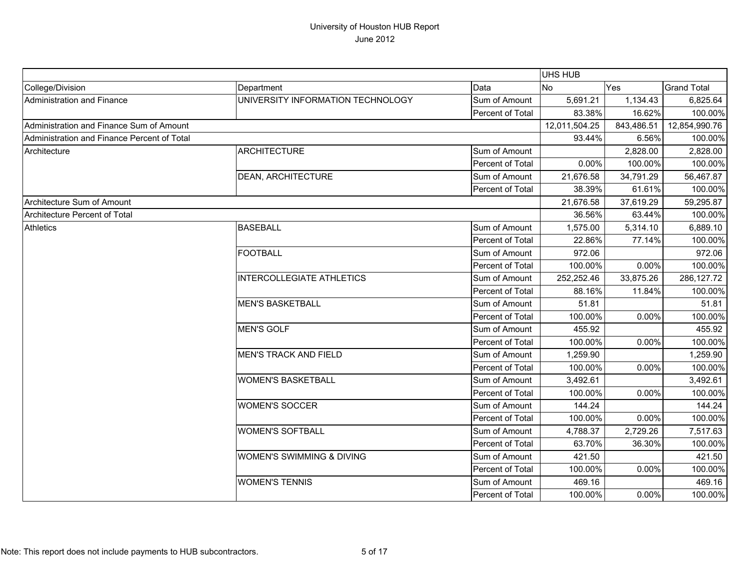|                                             |                                   |                  | UHS HUB       |            |                    |
|---------------------------------------------|-----------------------------------|------------------|---------------|------------|--------------------|
| College/Division                            | Department                        | Data             | <b>No</b>     | Yes        | <b>Grand Total</b> |
| Administration and Finance                  | UNIVERSITY INFORMATION TECHNOLOGY | Sum of Amount    | 5,691.21      | 1,134.43   | 6,825.64           |
|                                             |                                   | Percent of Total | 83.38%        | 16.62%     | 100.00%            |
| Administration and Finance Sum of Amount    |                                   |                  | 12,011,504.25 | 843,486.51 | 12,854,990.76      |
| Administration and Finance Percent of Total |                                   |                  | 93.44%        | 6.56%      | 100.00%            |
| Architecture                                | <b>ARCHITECTURE</b>               | Sum of Amount    |               | 2,828.00   | 2,828.00           |
|                                             |                                   | Percent of Total | 0.00%         | 100.00%    | 100.00%            |
|                                             | <b>DEAN, ARCHITECTURE</b>         | Sum of Amount    | 21,676.58     | 34,791.29  | 56,467.87          |
|                                             |                                   | Percent of Total | 38.39%        | 61.61%     | 100.00%            |
| Architecture Sum of Amount                  |                                   |                  | 21,676.58     | 37,619.29  | 59,295.87          |
| Architecture Percent of Total               |                                   |                  | 36.56%        | 63.44%     | 100.00%            |
| <b>Athletics</b>                            | <b>BASEBALL</b>                   | Sum of Amount    | 1,575.00      | 5,314.10   | 6,889.10           |
|                                             |                                   | Percent of Total | 22.86%        | 77.14%     | 100.00%            |
|                                             | <b>FOOTBALL</b>                   | Sum of Amount    | 972.06        |            | 972.06             |
|                                             |                                   | Percent of Total | 100.00%       | 0.00%      | 100.00%            |
|                                             | <b>INTERCOLLEGIATE ATHLETICS</b>  | Sum of Amount    | 252,252.46    | 33,875.26  | 286,127.72         |
|                                             |                                   | Percent of Total | 88.16%        | 11.84%     | 100.00%            |
|                                             | <b>MEN'S BASKETBALL</b>           | Sum of Amount    | 51.81         |            | 51.81              |
|                                             |                                   | Percent of Total | 100.00%       | 0.00%      | 100.00%            |
|                                             | <b>MEN'S GOLF</b>                 | Sum of Amount    | 455.92        |            | 455.92             |
|                                             |                                   | Percent of Total | 100.00%       | 0.00%      | 100.00%            |
|                                             | <b>MEN'S TRACK AND FIELD</b>      | Sum of Amount    | 1,259.90      |            | 1,259.90           |
|                                             |                                   | Percent of Total | 100.00%       | 0.00%      | 100.00%            |
|                                             | <b>WOMEN'S BASKETBALL</b>         | Sum of Amount    | 3,492.61      |            | 3,492.61           |
|                                             |                                   | Percent of Total | 100.00%       | 0.00%      | 100.00%            |
|                                             | <b>WOMEN'S SOCCER</b>             | Sum of Amount    | 144.24        |            | 144.24             |
|                                             |                                   | Percent of Total | 100.00%       | 0.00%      | 100.00%            |
|                                             | <b>WOMEN'S SOFTBALL</b>           | Sum of Amount    | 4,788.37      | 2,729.26   | 7,517.63           |
|                                             |                                   | Percent of Total | 63.70%        | 36.30%     | 100.00%            |
|                                             | WOMEN'S SWIMMING & DIVING         | Sum of Amount    | 421.50        |            | 421.50             |
|                                             |                                   | Percent of Total | 100.00%       | 0.00%      | 100.00%            |
|                                             | <b>WOMEN'S TENNIS</b>             | Sum of Amount    | 469.16        |            | 469.16             |
|                                             |                                   | Percent of Total | 100.00%       | 0.00%      | 100.00%            |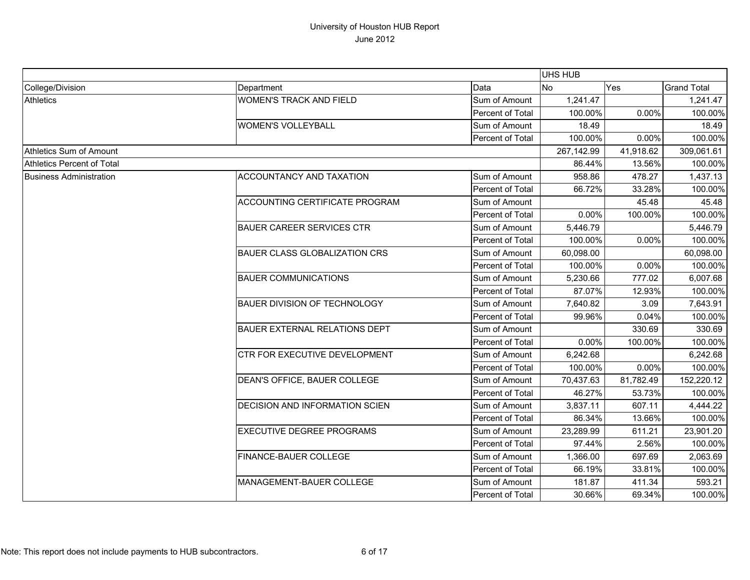|                                   |                                       |                  | UHS HUB    |           |                    |
|-----------------------------------|---------------------------------------|------------------|------------|-----------|--------------------|
| College/Division                  | Department                            | Data             | <b>No</b>  | Yes       | <b>Grand Total</b> |
| <b>Athletics</b>                  | <b>WOMEN'S TRACK AND FIELD</b>        | Sum of Amount    | 1,241.47   |           | 1,241.47           |
|                                   |                                       | Percent of Total | 100.00%    | 0.00%     | 100.00%            |
|                                   | <b>WOMEN'S VOLLEYBALL</b>             | Sum of Amount    | 18.49      |           | 18.49              |
|                                   |                                       | Percent of Total | 100.00%    | 0.00%     | 100.00%            |
| Athletics Sum of Amount           |                                       |                  | 267,142.99 | 41,918.62 | 309,061.61         |
| <b>Athletics Percent of Total</b> |                                       |                  | 86.44%     | 13.56%    | 100.00%            |
| <b>Business Administration</b>    | ACCOUNTANCY AND TAXATION              | Sum of Amount    | 958.86     | 478.27    | 1,437.13           |
|                                   |                                       | Percent of Total | 66.72%     | 33.28%    | 100.00%            |
|                                   | ACCOUNTING CERTIFICATE PROGRAM        | Sum of Amount    |            | 45.48     | 45.48              |
|                                   |                                       | Percent of Total | 0.00%      | 100.00%   | 100.00%            |
|                                   | <b>BAUER CAREER SERVICES CTR</b>      | Sum of Amount    | 5,446.79   |           | 5,446.79           |
|                                   |                                       | Percent of Total | 100.00%    | 0.00%     | 100.00%            |
|                                   | <b>BAUER CLASS GLOBALIZATION CRS</b>  | Sum of Amount    | 60,098.00  |           | 60,098.00          |
|                                   |                                       | Percent of Total | 100.00%    | 0.00%     | 100.00%            |
|                                   | <b>BAUER COMMUNICATIONS</b>           | Sum of Amount    | 5,230.66   | 777.02    | 6,007.68           |
|                                   |                                       | Percent of Total | 87.07%     | 12.93%    | 100.00%            |
|                                   | <b>BAUER DIVISION OF TECHNOLOGY</b>   | Sum of Amount    | 7,640.82   | 3.09      | 7,643.91           |
|                                   |                                       | Percent of Total | 99.96%     | 0.04%     | 100.00%            |
|                                   | <b>BAUER EXTERNAL RELATIONS DEPT</b>  | Sum of Amount    |            | 330.69    | 330.69             |
|                                   |                                       | Percent of Total | 0.00%      | 100.00%   | 100.00%            |
|                                   | CTR FOR EXECUTIVE DEVELOPMENT         | Sum of Amount    | 6,242.68   |           | 6,242.68           |
|                                   |                                       | Percent of Total | 100.00%    | 0.00%     | 100.00%            |
|                                   | DEAN'S OFFICE, BAUER COLLEGE          | Sum of Amount    | 70,437.63  | 81,782.49 | 152,220.12         |
|                                   |                                       | Percent of Total | 46.27%     | 53.73%    | 100.00%            |
|                                   | <b>DECISION AND INFORMATION SCIEN</b> | Sum of Amount    | 3,837.11   | 607.11    | 4,444.22           |
|                                   |                                       | Percent of Total | 86.34%     | 13.66%    | 100.00%            |
|                                   | <b>EXECUTIVE DEGREE PROGRAMS</b>      | Sum of Amount    | 23,289.99  | 611.21    | 23,901.20          |
|                                   |                                       | Percent of Total | 97.44%     | 2.56%     | 100.00%            |
|                                   | FINANCE-BAUER COLLEGE                 | Sum of Amount    | 1,366.00   | 697.69    | 2,063.69           |
|                                   |                                       | Percent of Total | 66.19%     | 33.81%    | 100.00%            |
|                                   | MANAGEMENT-BAUER COLLEGE              | Sum of Amount    | 181.87     | 411.34    | 593.21             |
|                                   |                                       | Percent of Total | 30.66%     | 69.34%    | 100.00%            |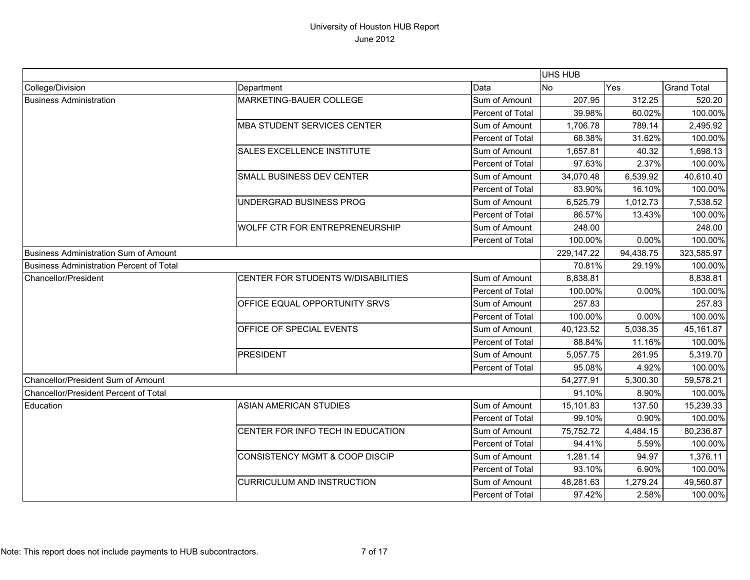|                                          |                                    |                  | <b>UHS HUB</b> |           |                    |
|------------------------------------------|------------------------------------|------------------|----------------|-----------|--------------------|
| College/Division                         | Department                         | Data             | <b>No</b>      | Yes       | <b>Grand Total</b> |
| <b>Business Administration</b>           | MARKETING-BAUER COLLEGE            | Sum of Amount    | 207.95         | 312.25    | 520.20             |
|                                          |                                    | Percent of Total | 39.98%         | 60.02%    | 100.00%            |
|                                          | <b>MBA STUDENT SERVICES CENTER</b> | Sum of Amount    | 1,706.78       | 789.14    | 2,495.92           |
|                                          |                                    | Percent of Total | 68.38%         | 31.62%    | 100.00%            |
|                                          | <b>SALES EXCELLENCE INSTITUTE</b>  | Sum of Amount    | 1,657.81       | 40.32     | 1,698.13           |
|                                          |                                    | Percent of Total | 97.63%         | 2.37%     | 100.00%            |
|                                          | SMALL BUSINESS DEV CENTER          | Sum of Amount    | 34,070.48      | 6,539.92  | 40,610.40          |
|                                          |                                    | Percent of Total | 83.90%         | 16.10%    | 100.00%            |
|                                          | UNDERGRAD BUSINESS PROG            | Sum of Amount    | 6,525.79       | 1,012.73  | 7,538.52           |
|                                          |                                    | Percent of Total | 86.57%         | 13.43%    | 100.00%            |
|                                          | WOLFF CTR FOR ENTREPRENEURSHIP     | Sum of Amount    | 248.00         |           | 248.00             |
|                                          |                                    | Percent of Total | 100.00%        | 0.00%     | 100.00%            |
| Business Administration Sum of Amount    |                                    |                  | 229,147.22     | 94,438.75 | 323,585.97         |
| Business Administration Percent of Total |                                    |                  | 70.81%         | 29.19%    | 100.00%            |
| Chancellor/President                     | CENTER FOR STUDENTS W/DISABILITIES | Sum of Amount    | 8,838.81       |           | 8,838.81           |
|                                          |                                    | Percent of Total | 100.00%        | 0.00%     | 100.00%            |
|                                          | OFFICE EQUAL OPPORTUNITY SRVS      | Sum of Amount    | 257.83         |           | 257.83             |
|                                          |                                    | Percent of Total | 100.00%        | 0.00%     | 100.00%            |
|                                          | OFFICE OF SPECIAL EVENTS           | Sum of Amount    | 40,123.52      | 5,038.35  | 45,161.87          |
|                                          |                                    | Percent of Total | 88.84%         | 11.16%    | 100.00%            |
|                                          | <b>PRESIDENT</b>                   | Sum of Amount    | 5,057.75       | 261.95    | 5,319.70           |
|                                          |                                    | Percent of Total | 95.08%         | 4.92%     | 100.00%            |
| Chancellor/President Sum of Amount       |                                    |                  | 54,277.91      | 5,300.30  | 59,578.21          |
| Chancellor/President Percent of Total    |                                    |                  | 91.10%         | 8.90%     | 100.00%            |
| Education                                | <b>ASIAN AMERICAN STUDIES</b>      | Sum of Amount    | 15,101.83      | 137.50    | 15,239.33          |
|                                          |                                    | Percent of Total | 99.10%         | 0.90%     | 100.00%            |
|                                          | CENTER FOR INFO TECH IN EDUCATION  | Sum of Amount    | 75,752.72      | 4,484.15  | 80,236.87          |
|                                          |                                    | Percent of Total | 94.41%         | 5.59%     | 100.00%            |
|                                          | CONSISTENCY MGMT & COOP DISCIP     | Sum of Amount    | 1,281.14       | 94.97     | 1,376.11           |
|                                          |                                    | Percent of Total | 93.10%         | 6.90%     | 100.00%            |
|                                          | <b>CURRICULUM AND INSTRUCTION</b>  | Sum of Amount    | 48,281.63      | 1,279.24  | 49,560.87          |
|                                          |                                    | Percent of Total | 97.42%         | 2.58%     | 100.00%            |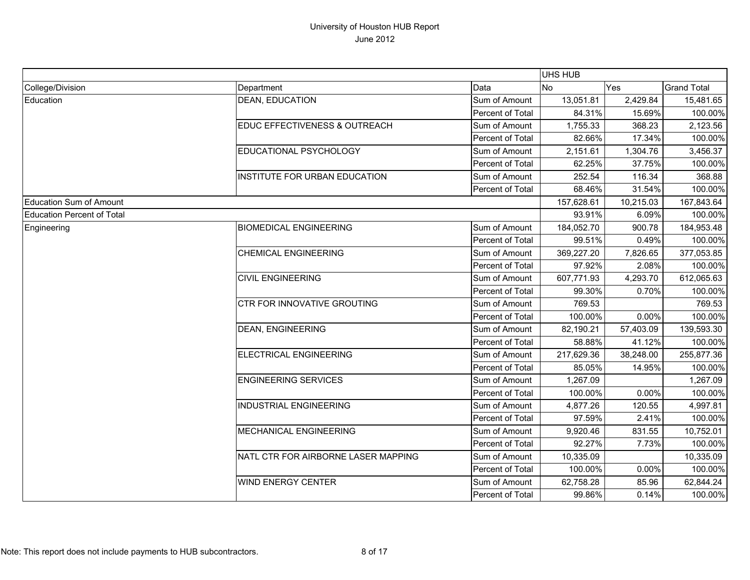|                                   |                                     |                  | UHS HUB    |           |                    |
|-----------------------------------|-------------------------------------|------------------|------------|-----------|--------------------|
| College/Division                  | Department                          | Data             | <b>No</b>  | Yes       | <b>Grand Total</b> |
| Education                         | <b>DEAN, EDUCATION</b>              | Sum of Amount    | 13,051.81  | 2,429.84  | 15,481.65          |
|                                   |                                     | Percent of Total | 84.31%     | 15.69%    | 100.00%            |
|                                   | EDUC EFFECTIVENESS & OUTREACH       | Sum of Amount    | 1,755.33   | 368.23    | 2,123.56           |
|                                   |                                     | Percent of Total | 82.66%     | 17.34%    | 100.00%            |
|                                   | EDUCATIONAL PSYCHOLOGY              | Sum of Amount    | 2,151.61   | 1,304.76  | 3,456.37           |
|                                   |                                     | Percent of Total | 62.25%     | 37.75%    | 100.00%            |
|                                   | INSTITUTE FOR URBAN EDUCATION       | Sum of Amount    | 252.54     | 116.34    | 368.88             |
|                                   |                                     | Percent of Total | 68.46%     | 31.54%    | 100.00%            |
| Education Sum of Amount           |                                     |                  | 157,628.61 | 10,215.03 | 167,843.64         |
| <b>Education Percent of Total</b> |                                     |                  | 93.91%     | 6.09%     | 100.00%            |
| Engineering                       | <b>BIOMEDICAL ENGINEERING</b>       | Sum of Amount    | 184,052.70 | 900.78    | 184,953.48         |
|                                   |                                     | Percent of Total | 99.51%     | 0.49%     | 100.00%            |
|                                   | <b>CHEMICAL ENGINEERING</b>         | Sum of Amount    | 369,227.20 | 7,826.65  | 377,053.85         |
|                                   |                                     | Percent of Total | 97.92%     | 2.08%     | 100.00%            |
|                                   | <b>CIVIL ENGINEERING</b>            | Sum of Amount    | 607,771.93 | 4,293.70  | 612,065.63         |
|                                   |                                     | Percent of Total | 99.30%     | 0.70%     | 100.00%            |
|                                   | CTR FOR INNOVATIVE GROUTING         | Sum of Amount    | 769.53     |           | 769.53             |
|                                   |                                     | Percent of Total | 100.00%    | 0.00%     | 100.00%            |
|                                   | <b>DEAN, ENGINEERING</b>            | Sum of Amount    | 82,190.21  | 57,403.09 | 139,593.30         |
|                                   |                                     | Percent of Total | 58.88%     | 41.12%    | 100.00%            |
|                                   | <b>ELECTRICAL ENGINEERING</b>       | Sum of Amount    | 217,629.36 | 38,248.00 | 255,877.36         |
|                                   |                                     | Percent of Total | 85.05%     | 14.95%    | 100.00%            |
|                                   | <b>ENGINEERING SERVICES</b>         | Sum of Amount    | 1,267.09   |           | 1,267.09           |
|                                   |                                     | Percent of Total | 100.00%    | 0.00%     | 100.00%            |
|                                   | <b>INDUSTRIAL ENGINEERING</b>       | Sum of Amount    | 4,877.26   | 120.55    | 4,997.81           |
|                                   |                                     | Percent of Total | 97.59%     | 2.41%     | 100.00%            |
|                                   | MECHANICAL ENGINEERING              | Sum of Amount    | 9,920.46   | 831.55    | 10,752.01          |
|                                   |                                     | Percent of Total | 92.27%     | 7.73%     | 100.00%            |
|                                   | NATL CTR FOR AIRBORNE LASER MAPPING | Sum of Amount    | 10,335.09  |           | 10,335.09          |
|                                   |                                     | Percent of Total | 100.00%    | 0.00%     | 100.00%            |
|                                   | <b>WIND ENERGY CENTER</b>           | Sum of Amount    | 62,758.28  | 85.96     | 62,844.24          |
|                                   |                                     | Percent of Total | 99.86%     | 0.14%     | 100.00%            |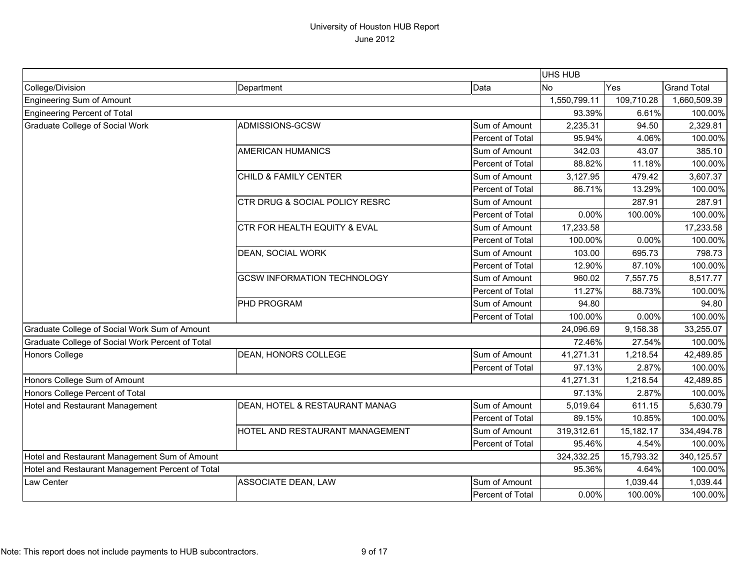|                                                  |                                    |                  | UHS HUB      |            |                    |
|--------------------------------------------------|------------------------------------|------------------|--------------|------------|--------------------|
| College/Division                                 | Department                         | Data             | <b>No</b>    | Yes        | <b>Grand Total</b> |
| <b>Engineering Sum of Amount</b>                 |                                    |                  | 1,550,799.11 | 109,710.28 | 1,660,509.39       |
| <b>Engineering Percent of Total</b>              |                                    |                  | 93.39%       | 6.61%      | 100.00%            |
| Graduate College of Social Work                  | ADMISSIONS-GCSW                    | Sum of Amount    | 2,235.31     | 94.50      | 2,329.81           |
|                                                  |                                    | Percent of Total | 95.94%       | 4.06%      | 100.00%            |
|                                                  | <b>AMERICAN HUMANICS</b>           | Sum of Amount    | 342.03       | 43.07      | 385.10             |
|                                                  |                                    | Percent of Total | 88.82%       | 11.18%     | 100.00%            |
|                                                  | CHILD & FAMILY CENTER              | Sum of Amount    | 3,127.95     | 479.42     | 3,607.37           |
|                                                  |                                    | Percent of Total | 86.71%       | 13.29%     | 100.00%            |
|                                                  | CTR DRUG & SOCIAL POLICY RESRC     | Sum of Amount    |              | 287.91     | 287.91             |
|                                                  |                                    | Percent of Total | 0.00%        | 100.00%    | 100.00%            |
|                                                  | CTR FOR HEALTH EQUITY & EVAL       | Sum of Amount    | 17,233.58    |            | 17,233.58          |
|                                                  |                                    | Percent of Total | 100.00%      | 0.00%      | 100.00%            |
|                                                  | DEAN, SOCIAL WORK                  | Sum of Amount    | 103.00       | 695.73     | 798.73             |
|                                                  |                                    | Percent of Total | 12.90%       | 87.10%     | 100.00%            |
|                                                  | <b>GCSW INFORMATION TECHNOLOGY</b> | Sum of Amount    | 960.02       | 7,557.75   | 8,517.77           |
|                                                  |                                    | Percent of Total | 11.27%       | 88.73%     | 100.00%            |
|                                                  | PHD PROGRAM                        | Sum of Amount    | 94.80        |            | 94.80              |
|                                                  |                                    | Percent of Total | 100.00%      | 0.00%      | 100.00%            |
| Graduate College of Social Work Sum of Amount    |                                    |                  | 24,096.69    | 9,158.38   | 33,255.07          |
| Graduate College of Social Work Percent of Total |                                    |                  | 72.46%       | 27.54%     | 100.00%            |
| <b>Honors College</b>                            | DEAN, HONORS COLLEGE               | Sum of Amount    | 41,271.31    | 1,218.54   | 42,489.85          |
|                                                  |                                    | Percent of Total | 97.13%       | 2.87%      | 100.00%            |
| Honors College Sum of Amount                     |                                    |                  | 41,271.31    | 1,218.54   | 42,489.85          |
| Honors College Percent of Total                  |                                    |                  | 97.13%       | 2.87%      | 100.00%            |
| Hotel and Restaurant Management                  | DEAN, HOTEL & RESTAURANT MANAG     | Sum of Amount    | 5,019.64     | 611.15     | 5,630.79           |
|                                                  |                                    | Percent of Total | 89.15%       | 10.85%     | 100.00%            |
|                                                  | HOTEL AND RESTAURANT MANAGEMENT    | Sum of Amount    | 319,312.61   | 15,182.17  | 334,494.78         |
|                                                  |                                    | Percent of Total | 95.46%       | 4.54%      | 100.00%            |
| Hotel and Restaurant Management Sum of Amount    |                                    | 324,332.25       | 15,793.32    | 340,125.57 |                    |
| Hotel and Restaurant Management Percent of Total |                                    |                  | 95.36%       | 4.64%      | 100.00%            |
| Law Center                                       | ASSOCIATE DEAN, LAW                | Sum of Amount    |              | 1,039.44   | 1,039.44           |
|                                                  |                                    | Percent of Total | 0.00%        | 100.00%    | 100.00%            |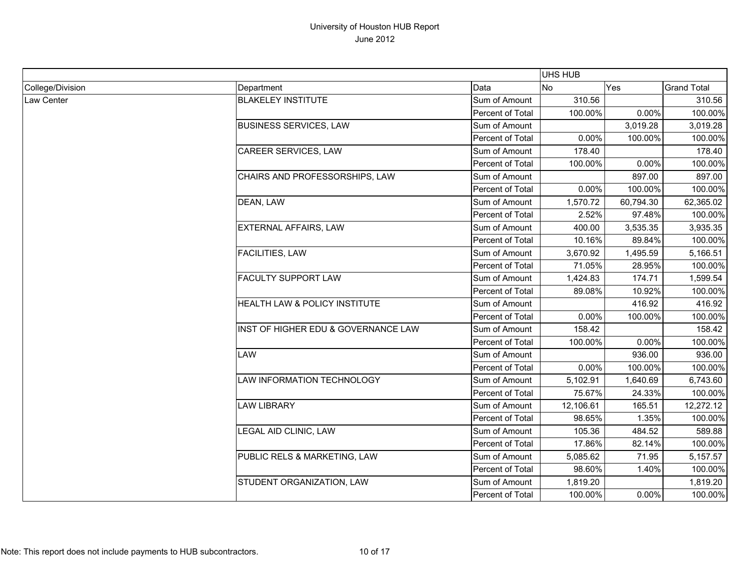|                  |                                     |                         | <b>UHS HUB</b> |           |                    |
|------------------|-------------------------------------|-------------------------|----------------|-----------|--------------------|
| College/Division | Department                          | Data                    | <b>No</b>      | Yes       | <b>Grand Total</b> |
| Law Center       | <b>BLAKELEY INSTITUTE</b>           | Sum of Amount           | 310.56         |           | 310.56             |
|                  |                                     | <b>Percent of Total</b> | 100.00%        | 0.00%     | 100.00%            |
|                  | <b>BUSINESS SERVICES, LAW</b>       | Sum of Amount           |                | 3,019.28  | 3,019.28           |
|                  |                                     | Percent of Total        | 0.00%          | 100.00%   | 100.00%            |
|                  | CAREER SERVICES, LAW                | Sum of Amount           | 178.40         |           | 178.40             |
|                  |                                     | Percent of Total        | 100.00%        | 0.00%     | 100.00%            |
|                  | CHAIRS AND PROFESSORSHIPS, LAW      | Sum of Amount           |                | 897.00    | 897.00             |
|                  |                                     | Percent of Total        | 0.00%          | 100.00%   | 100.00%            |
|                  | DEAN, LAW                           | Sum of Amount           | 1,570.72       | 60,794.30 | 62,365.02          |
|                  |                                     | Percent of Total        | 2.52%          | 97.48%    | 100.00%            |
|                  | <b>EXTERNAL AFFAIRS, LAW</b>        | Sum of Amount           | 400.00         | 3,535.35  | 3,935.35           |
|                  |                                     | Percent of Total        | 10.16%         | 89.84%    | 100.00%            |
|                  | <b>FACILITIES, LAW</b>              | Sum of Amount           | 3,670.92       | 1,495.59  | 5,166.51           |
|                  |                                     | Percent of Total        | 71.05%         | 28.95%    | 100.00%            |
|                  | <b>FACULTY SUPPORT LAW</b>          | Sum of Amount           | 1,424.83       | 174.71    | 1,599.54           |
|                  |                                     | Percent of Total        | 89.08%         | 10.92%    | 100.00%            |
|                  | HEALTH LAW & POLICY INSTITUTE       | Sum of Amount           |                | 416.92    | 416.92             |
|                  |                                     | Percent of Total        | 0.00%          | 100.00%   | 100.00%            |
|                  | INST OF HIGHER EDU & GOVERNANCE LAW | Sum of Amount           | 158.42         |           | 158.42             |
|                  |                                     | Percent of Total        | 100.00%        | 0.00%     | 100.00%            |
|                  | LAW                                 | Sum of Amount           |                | 936.00    | 936.00             |
|                  |                                     | Percent of Total        | 0.00%          | 100.00%   | 100.00%            |
|                  | LAW INFORMATION TECHNOLOGY          | Sum of Amount           | 5,102.91       | 1,640.69  | 6,743.60           |
|                  |                                     | Percent of Total        | 75.67%         | 24.33%    | 100.00%            |
|                  | <b>LAW LIBRARY</b>                  | Sum of Amount           | 12,106.61      | 165.51    | 12,272.12          |
|                  |                                     | Percent of Total        | 98.65%         | 1.35%     | 100.00%            |
|                  | LEGAL AID CLINIC, LAW               | Sum of Amount           | 105.36         | 484.52    | 589.88             |
|                  |                                     | Percent of Total        | 17.86%         | 82.14%    | 100.00%            |
|                  | PUBLIC RELS & MARKETING, LAW        | Sum of Amount           | 5,085.62       | 71.95     | 5,157.57           |
|                  |                                     | Percent of Total        | 98.60%         | 1.40%     | 100.00%            |
|                  | STUDENT ORGANIZATION, LAW           | Sum of Amount           | 1,819.20       |           | 1,819.20           |
|                  |                                     | Percent of Total        | 100.00%        | 0.00%     | 100.00%            |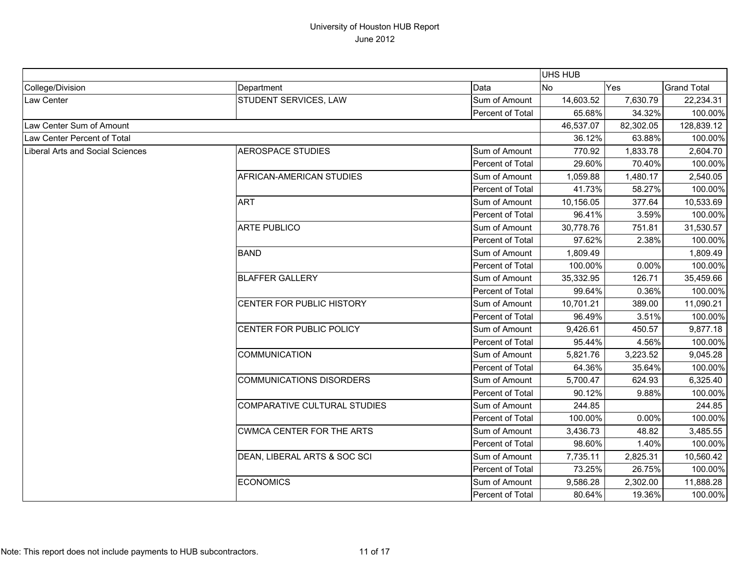|                                         |                                  |                  | <b>UHS HUB</b> |           |                    |
|-----------------------------------------|----------------------------------|------------------|----------------|-----------|--------------------|
| College/Division                        | Department                       | Data             | No             | Yes       | <b>Grand Total</b> |
| Law Center                              | STUDENT SERVICES, LAW            | Sum of Amount    | 14,603.52      | 7,630.79  | 22,234.31          |
|                                         |                                  | Percent of Total | 65.68%         | 34.32%    | 100.00%            |
| Law Center Sum of Amount                |                                  |                  | 46,537.07      | 82,302.05 | 128,839.12         |
| Law Center Percent of Total             |                                  |                  | 36.12%         | 63.88%    | 100.00%            |
| <b>Liberal Arts and Social Sciences</b> | <b>AEROSPACE STUDIES</b>         | Sum of Amount    | 770.92         | 1,833.78  | 2,604.70           |
|                                         |                                  | Percent of Total | 29.60%         | 70.40%    | 100.00%            |
|                                         | AFRICAN-AMERICAN STUDIES         | Sum of Amount    | 1,059.88       | 1,480.17  | 2,540.05           |
|                                         |                                  | Percent of Total | 41.73%         | 58.27%    | 100.00%            |
|                                         | <b>ART</b>                       | Sum of Amount    | 10,156.05      | 377.64    | 10,533.69          |
|                                         |                                  | Percent of Total | 96.41%         | 3.59%     | 100.00%            |
|                                         | <b>ARTE PUBLICO</b>              | Sum of Amount    | 30,778.76      | 751.81    | 31,530.57          |
|                                         |                                  | Percent of Total | 97.62%         | 2.38%     | 100.00%            |
|                                         | <b>BAND</b>                      | Sum of Amount    | 1,809.49       |           | 1,809.49           |
|                                         |                                  | Percent of Total | 100.00%        | 0.00%     | 100.00%            |
|                                         | <b>BLAFFER GALLERY</b>           | Sum of Amount    | 35,332.95      | 126.71    | 35,459.66          |
|                                         |                                  | Percent of Total | 99.64%         | 0.36%     | 100.00%            |
|                                         | CENTER FOR PUBLIC HISTORY        | Sum of Amount    | 10,701.21      | 389.00    | 11,090.21          |
|                                         |                                  | Percent of Total | 96.49%         | 3.51%     | 100.00%            |
|                                         | CENTER FOR PUBLIC POLICY         | Sum of Amount    | 9,426.61       | 450.57    | 9,877.18           |
|                                         |                                  | Percent of Total | 95.44%         | 4.56%     | 100.00%            |
|                                         | <b>COMMUNICATION</b>             | Sum of Amount    | 5,821.76       | 3,223.52  | 9,045.28           |
|                                         |                                  | Percent of Total | 64.36%         | 35.64%    | 100.00%            |
|                                         | <b>COMMUNICATIONS DISORDERS</b>  | Sum of Amount    | 5,700.47       | 624.93    | 6,325.40           |
|                                         |                                  | Percent of Total | 90.12%         | 9.88%     | 100.00%            |
|                                         | COMPARATIVE CULTURAL STUDIES     | Sum of Amount    | 244.85         |           | 244.85             |
|                                         |                                  | Percent of Total | 100.00%        | 0.00%     | 100.00%            |
|                                         | <b>CWMCA CENTER FOR THE ARTS</b> | Sum of Amount    | 3,436.73       | 48.82     | 3,485.55           |
|                                         |                                  | Percent of Total | 98.60%         | 1.40%     | 100.00%            |
|                                         | DEAN, LIBERAL ARTS & SOC SCI     | Sum of Amount    | 7,735.11       | 2,825.31  | 10,560.42          |
|                                         |                                  | Percent of Total | 73.25%         | 26.75%    | 100.00%            |
|                                         | <b>ECONOMICS</b>                 | Sum of Amount    | 9,586.28       | 2,302.00  | 11,888.28          |
|                                         |                                  | Percent of Total | 80.64%         | 19.36%    | 100.00%            |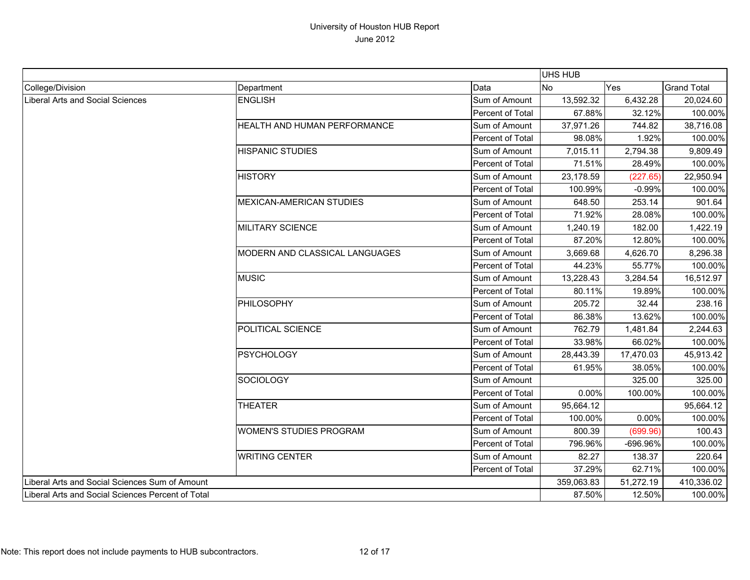|                                                   |                                |                  | UHS HUB    |           |                    |
|---------------------------------------------------|--------------------------------|------------------|------------|-----------|--------------------|
| College/Division                                  | Department                     | Data             | <b>No</b>  | Yes       | <b>Grand Total</b> |
| <b>Liberal Arts and Social Sciences</b>           | <b>ENGLISH</b>                 | Sum of Amount    | 13,592.32  | 6,432.28  | 20,024.60          |
|                                                   |                                | Percent of Total | 67.88%     | 32.12%    | 100.00%            |
|                                                   | HEALTH AND HUMAN PERFORMANCE   | Sum of Amount    | 37,971.26  | 744.82    | 38,716.08          |
|                                                   |                                | Percent of Total | 98.08%     | 1.92%     | 100.00%            |
|                                                   | <b>HISPANIC STUDIES</b>        | Sum of Amount    | 7,015.11   | 2,794.38  | 9,809.49           |
|                                                   |                                | Percent of Total | 71.51%     | 28.49%    | 100.00%            |
|                                                   | <b>HISTORY</b>                 | Sum of Amount    | 23,178.59  | (227.65)  | 22,950.94          |
|                                                   |                                | Percent of Total | 100.99%    | $-0.99%$  | 100.00%            |
|                                                   | MEXICAN-AMERICAN STUDIES       | Sum of Amount    | 648.50     | 253.14    | 901.64             |
|                                                   |                                | Percent of Total | 71.92%     | 28.08%    | 100.00%            |
|                                                   | MILITARY SCIENCE               | Sum of Amount    | 1,240.19   | 182.00    | 1,422.19           |
|                                                   |                                | Percent of Total | 87.20%     | 12.80%    | 100.00%            |
|                                                   | MODERN AND CLASSICAL LANGUAGES | Sum of Amount    | 3,669.68   | 4,626.70  | 8,296.38           |
|                                                   |                                | Percent of Total | 44.23%     | 55.77%    | 100.00%            |
|                                                   | <b>MUSIC</b>                   | Sum of Amount    | 13,228.43  | 3,284.54  | 16,512.97          |
|                                                   |                                | Percent of Total | 80.11%     | 19.89%    | 100.00%            |
|                                                   | PHILOSOPHY                     | Sum of Amount    | 205.72     | 32.44     | 238.16             |
|                                                   |                                | Percent of Total | 86.38%     | 13.62%    | 100.00%            |
|                                                   | POLITICAL SCIENCE              | Sum of Amount    | 762.79     | 1,481.84  | 2,244.63           |
|                                                   |                                | Percent of Total | 33.98%     | 66.02%    | 100.00%            |
|                                                   | <b>PSYCHOLOGY</b>              | Sum of Amount    | 28,443.39  | 17,470.03 | 45,913.42          |
|                                                   |                                | Percent of Total | 61.95%     | 38.05%    | 100.00%            |
|                                                   | <b>SOCIOLOGY</b>               | Sum of Amount    |            | 325.00    | 325.00             |
|                                                   |                                | Percent of Total | 0.00%      | 100.00%   | 100.00%            |
|                                                   | <b>THEATER</b>                 | Sum of Amount    | 95,664.12  |           | 95,664.12          |
|                                                   |                                | Percent of Total | 100.00%    | 0.00%     | 100.00%            |
|                                                   | <b>WOMEN'S STUDIES PROGRAM</b> | Sum of Amount    | 800.39     | (699.96)  | 100.43             |
|                                                   |                                | Percent of Total | 796.96%    | -696.96%  | 100.00%            |
|                                                   | <b>WRITING CENTER</b>          | Sum of Amount    | 82.27      | 138.37    | 220.64             |
|                                                   |                                | Percent of Total | 37.29%     | 62.71%    | 100.00%            |
| Liberal Arts and Social Sciences Sum of Amount    |                                |                  | 359,063.83 | 51,272.19 | 410,336.02         |
| Liberal Arts and Social Sciences Percent of Total |                                | 87.50%           | 12.50%     | 100.00%   |                    |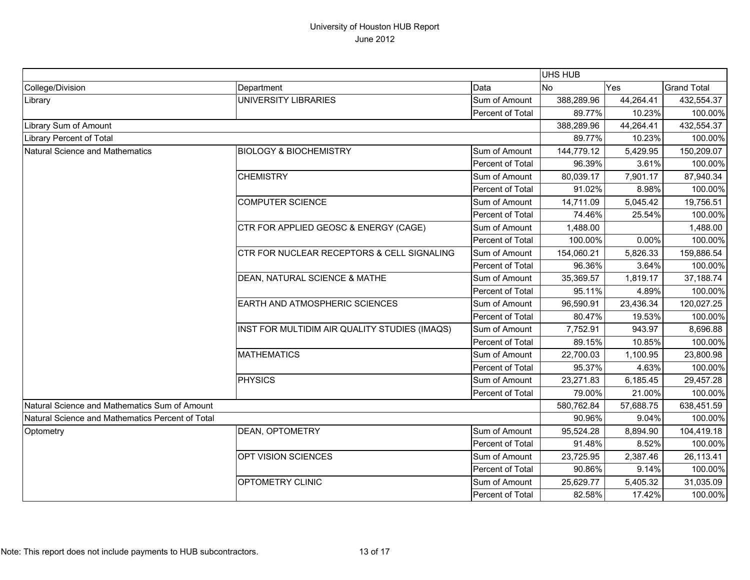|                                                  |                                                                                                                                                                                                                           |                  | UHS HUB    |           |                    |
|--------------------------------------------------|---------------------------------------------------------------------------------------------------------------------------------------------------------------------------------------------------------------------------|------------------|------------|-----------|--------------------|
| College/Division                                 | Department                                                                                                                                                                                                                | Data             | <b>No</b>  | Yes       | <b>Grand Total</b> |
| Library                                          | <b>UNIVERSITY LIBRARIES</b>                                                                                                                                                                                               | Sum of Amount    | 388,289.96 | 44,264.41 | 432,554.37         |
|                                                  |                                                                                                                                                                                                                           | Percent of Total | 89.77%     | 10.23%    | 100.00%            |
| Library Sum of Amount                            |                                                                                                                                                                                                                           |                  | 388,289.96 | 44,264.41 | 432,554.37         |
| Library Percent of Total                         |                                                                                                                                                                                                                           |                  | 89.77%     | 10.23%    | 100.00%            |
| Natural Science and Mathematics                  | <b>BIOLOGY &amp; BIOCHEMISTRY</b>                                                                                                                                                                                         | Sum of Amount    | 144,779.12 | 5,429.95  | 150,209.07         |
|                                                  |                                                                                                                                                                                                                           | Percent of Total | 96.39%     | 3.61%     | 100.00%            |
|                                                  | <b>CHEMISTRY</b>                                                                                                                                                                                                          | Sum of Amount    | 80,039.17  | 7,901.17  | 87,940.34          |
|                                                  |                                                                                                                                                                                                                           | Percent of Total | 91.02%     | 8.98%     | 100.00%            |
|                                                  | <b>COMPUTER SCIENCE</b>                                                                                                                                                                                                   | Sum of Amount    | 14,711.09  | 5,045.42  | 19,756.51          |
|                                                  |                                                                                                                                                                                                                           | Percent of Total | 74.46%     | 25.54%    | 100.00%            |
|                                                  | CTR FOR APPLIED GEOSC & ENERGY (CAGE)                                                                                                                                                                                     | Sum of Amount    | 1,488.00   |           | 1,488.00           |
|                                                  |                                                                                                                                                                                                                           | Percent of Total | 100.00%    | 0.00%     | 100.00%            |
|                                                  | CTR FOR NUCLEAR RECEPTORS & CELL SIGNALING<br>DEAN, NATURAL SCIENCE & MATHE<br><b>EARTH AND ATMOSPHERIC SCIENCES</b><br>INST FOR MULTIDIM AIR QUALITY STUDIES (IMAQS)<br><b>MATHEMATICS</b><br>PHYSICS<br>DEAN, OPTOMETRY | Sum of Amount    | 154,060.21 | 5,826.33  | 159,886.54         |
|                                                  |                                                                                                                                                                                                                           | Percent of Total | 96.36%     | 3.64%     | 100.00%            |
|                                                  |                                                                                                                                                                                                                           | Sum of Amount    | 35,369.57  | 1,819.17  | 37,188.74          |
|                                                  |                                                                                                                                                                                                                           | Percent of Total | 95.11%     | 4.89%     | 100.00%            |
|                                                  |                                                                                                                                                                                                                           | Sum of Amount    | 96,590.91  | 23,436.34 | 120,027.25         |
|                                                  |                                                                                                                                                                                                                           | Percent of Total | 80.47%     | 19.53%    | 100.00%            |
|                                                  |                                                                                                                                                                                                                           | Sum of Amount    | 7,752.91   | 943.97    | 8,696.88           |
|                                                  |                                                                                                                                                                                                                           | Percent of Total | 89.15%     | 10.85%    | 100.00%            |
|                                                  |                                                                                                                                                                                                                           | Sum of Amount    | 22,700.03  | 1,100.95  | 23,800.98          |
|                                                  |                                                                                                                                                                                                                           | Percent of Total | 95.37%     | 4.63%     | 100.00%            |
|                                                  |                                                                                                                                                                                                                           | Sum of Amount    | 23,271.83  | 6,185.45  | 29,457.28          |
|                                                  |                                                                                                                                                                                                                           | Percent of Total | 79.00%     | 21.00%    | 100.00%            |
| Natural Science and Mathematics Sum of Amount    |                                                                                                                                                                                                                           |                  | 580,762.84 | 57,688.75 | 638,451.59         |
| Natural Science and Mathematics Percent of Total |                                                                                                                                                                                                                           |                  | 90.96%     | 9.04%     | 100.00%            |
| Optometry                                        |                                                                                                                                                                                                                           | Sum of Amount    | 95,524.28  | 8,894.90  | 104,419.18         |
|                                                  |                                                                                                                                                                                                                           | Percent of Total | 91.48%     | 8.52%     | 100.00%            |
|                                                  | OPT VISION SCIENCES                                                                                                                                                                                                       | Sum of Amount    | 23,725.95  | 2,387.46  | 26,113.41          |
|                                                  |                                                                                                                                                                                                                           | Percent of Total | 90.86%     | 9.14%     | 100.00%            |
|                                                  | OPTOMETRY CLINIC                                                                                                                                                                                                          | Sum of Amount    | 25,629.77  | 5,405.32  | 31,035.09          |
|                                                  |                                                                                                                                                                                                                           | Percent of Total | 82.58%     | 17.42%    | 100.00%            |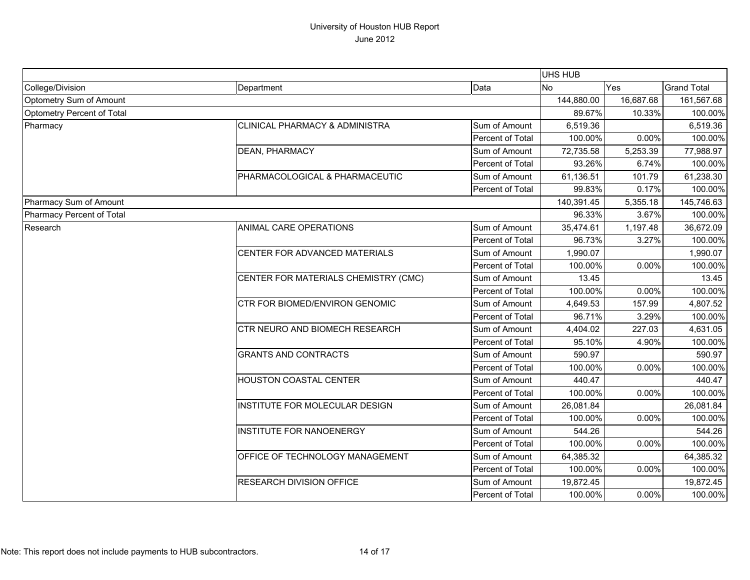|                            |                                      |                  |            | UHS HUB    |                    |  |
|----------------------------|--------------------------------------|------------------|------------|------------|--------------------|--|
| College/Division           | Department                           | Data             | <b>No</b>  | Yes        | <b>Grand Total</b> |  |
| Optometry Sum of Amount    |                                      | 144,880.00       | 16,687.68  | 161,567.68 |                    |  |
| Optometry Percent of Total |                                      | 89.67%           | 10.33%     | 100.00%    |                    |  |
| Pharmacy                   | CLINICAL PHARMACY & ADMINISTRA       | Sum of Amount    | 6,519.36   |            | 6,519.36           |  |
|                            |                                      | Percent of Total | 100.00%    | 0.00%      | 100.00%            |  |
|                            | DEAN, PHARMACY                       | Sum of Amount    | 72,735.58  | 5,253.39   | 77,988.97          |  |
|                            |                                      | Percent of Total | 93.26%     | 6.74%      | 100.00%            |  |
|                            | PHARMACOLOGICAL & PHARMACEUTIC       | Sum of Amount    | 61,136.51  | 101.79     | 61,238.30          |  |
|                            |                                      | Percent of Total | 99.83%     | 0.17%      | 100.00%            |  |
| Pharmacy Sum of Amount     |                                      |                  | 140,391.45 | 5,355.18   | 145,746.63         |  |
| Pharmacy Percent of Total  |                                      |                  | 96.33%     | 3.67%      | 100.00%            |  |
| Research                   | ANIMAL CARE OPERATIONS               | Sum of Amount    | 35,474.61  | 1,197.48   | 36,672.09          |  |
|                            |                                      | Percent of Total | 96.73%     | 3.27%      | 100.00%            |  |
|                            | CENTER FOR ADVANCED MATERIALS        | Sum of Amount    | 1,990.07   |            | 1,990.07           |  |
|                            |                                      | Percent of Total | 100.00%    | 0.00%      | 100.00%            |  |
|                            | CENTER FOR MATERIALS CHEMISTRY (CMC) | Sum of Amount    | 13.45      |            | 13.45              |  |
|                            |                                      | Percent of Total | 100.00%    | 0.00%      | 100.00%            |  |
|                            | CTR FOR BIOMED/ENVIRON GENOMIC       | Sum of Amount    | 4,649.53   | 157.99     | 4,807.52           |  |
|                            |                                      | Percent of Total | 96.71%     | 3.29%      | 100.00%            |  |
|                            | CTR NEURO AND BIOMECH RESEARCH       | Sum of Amount    | 4,404.02   | 227.03     | 4,631.05           |  |
|                            |                                      | Percent of Total | 95.10%     | 4.90%      | 100.00%            |  |
|                            | <b>GRANTS AND CONTRACTS</b>          | Sum of Amount    | 590.97     |            | 590.97             |  |
|                            |                                      | Percent of Total | 100.00%    | 0.00%      | 100.00%            |  |
|                            | <b>HOUSTON COASTAL CENTER</b>        | Sum of Amount    | 440.47     |            | 440.47             |  |
|                            |                                      | Percent of Total | 100.00%    | 0.00%      | 100.00%            |  |
|                            | INSTITUTE FOR MOLECULAR DESIGN       | Sum of Amount    | 26,081.84  |            | 26,081.84          |  |
|                            |                                      | Percent of Total | 100.00%    | 0.00%      | 100.00%            |  |
|                            | <b>INSTITUTE FOR NANOENERGY</b>      | Sum of Amount    | 544.26     |            | 544.26             |  |
|                            |                                      | Percent of Total | 100.00%    | 0.00%      | 100.00%            |  |
|                            | OFFICE OF TECHNOLOGY MANAGEMENT      | Sum of Amount    | 64,385.32  |            | 64,385.32          |  |
|                            |                                      | Percent of Total | 100.00%    | 0.00%      | 100.00%            |  |
|                            | RESEARCH DIVISION OFFICE             | Sum of Amount    | 19,872.45  |            | 19,872.45          |  |
|                            |                                      | Percent of Total | 100.00%    | 0.00%      | 100.00%            |  |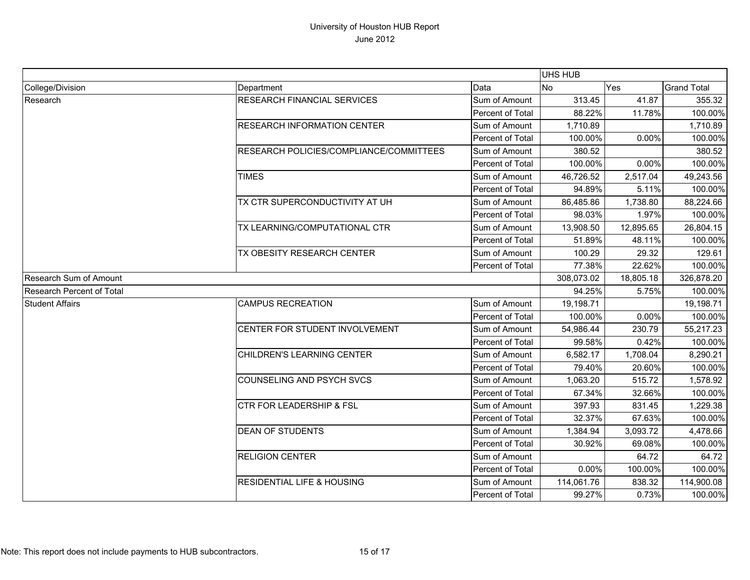|                           |                                         |                  | UHS HUB    |            |                    |
|---------------------------|-----------------------------------------|------------------|------------|------------|--------------------|
| College/Division          | Department                              | Data             | <b>No</b>  | Yes        | <b>Grand Total</b> |
| Research                  | <b>RESEARCH FINANCIAL SERVICES</b>      | Sum of Amount    | 313.45     | 41.87      | 355.32             |
|                           |                                         | Percent of Total | 88.22%     | 11.78%     | 100.00%            |
|                           | <b>RESEARCH INFORMATION CENTER</b>      | Sum of Amount    | 1,710.89   |            | 1,710.89           |
|                           |                                         | Percent of Total | 100.00%    | 0.00%      | 100.00%            |
|                           | RESEARCH POLICIES/COMPLIANCE/COMMITTEES | Sum of Amount    | 380.52     |            | 380.52             |
|                           |                                         | Percent of Total | 100.00%    | 0.00%      | 100.00%            |
|                           | <b>TIMES</b>                            | Sum of Amount    | 46,726.52  | 2,517.04   | 49,243.56          |
|                           |                                         | Percent of Total | 94.89%     | 5.11%      | 100.00%            |
|                           | TX CTR SUPERCONDUCTIVITY AT UH          | Sum of Amount    | 86,485.86  | 1,738.80   | 88,224.66          |
|                           |                                         | Percent of Total | 98.03%     | 1.97%      | 100.00%            |
|                           | TX LEARNING/COMPUTATIONAL CTR           | Sum of Amount    | 13,908.50  | 12,895.65  | 26,804.15          |
|                           |                                         | Percent of Total | 51.89%     | 48.11%     | 100.00%            |
|                           | TX OBESITY RESEARCH CENTER              | Sum of Amount    | 100.29     | 29.32      | 129.61             |
|                           |                                         | Percent of Total | 77.38%     | 22.62%     | 100.00%            |
| Research Sum of Amount    |                                         | 308,073.02       | 18,805.18  | 326,878.20 |                    |
| Research Percent of Total |                                         |                  | 94.25%     | 5.75%      | 100.00%            |
| <b>Student Affairs</b>    | <b>CAMPUS RECREATION</b>                | Sum of Amount    | 19,198.71  |            | 19,198.71          |
|                           |                                         | Percent of Total | 100.00%    | 0.00%      | 100.00%            |
|                           | CENTER FOR STUDENT INVOLVEMENT          | Sum of Amount    | 54,986.44  | 230.79     | 55,217.23          |
|                           |                                         | Percent of Total | 99.58%     | 0.42%      | 100.00%            |
|                           | CHILDREN'S LEARNING CENTER              | Sum of Amount    | 6,582.17   | 1,708.04   | 8,290.21           |
|                           |                                         | Percent of Total | 79.40%     | 20.60%     | 100.00%            |
|                           | <b>COUNSELING AND PSYCH SVCS</b>        | Sum of Amount    | 1,063.20   | 515.72     | 1,578.92           |
|                           |                                         | Percent of Total | 67.34%     | 32.66%     | 100.00%            |
|                           | <b>CTR FOR LEADERSHIP &amp; FSL</b>     | Sum of Amount    | 397.93     | 831.45     | 1,229.38           |
|                           |                                         | Percent of Total | 32.37%     | 67.63%     | 100.00%            |
|                           | <b>DEAN OF STUDENTS</b>                 | Sum of Amount    | 1,384.94   | 3,093.72   | 4,478.66           |
|                           |                                         | Percent of Total | 30.92%     | 69.08%     | 100.00%            |
|                           | <b>RELIGION CENTER</b>                  | Sum of Amount    |            | 64.72      | 64.72              |
|                           |                                         | Percent of Total | 0.00%      | 100.00%    | 100.00%            |
|                           | <b>RESIDENTIAL LIFE &amp; HOUSING</b>   | Sum of Amount    | 114,061.76 | 838.32     | 114,900.08         |
|                           |                                         | Percent of Total | 99.27%     | 0.73%      | 100.00%            |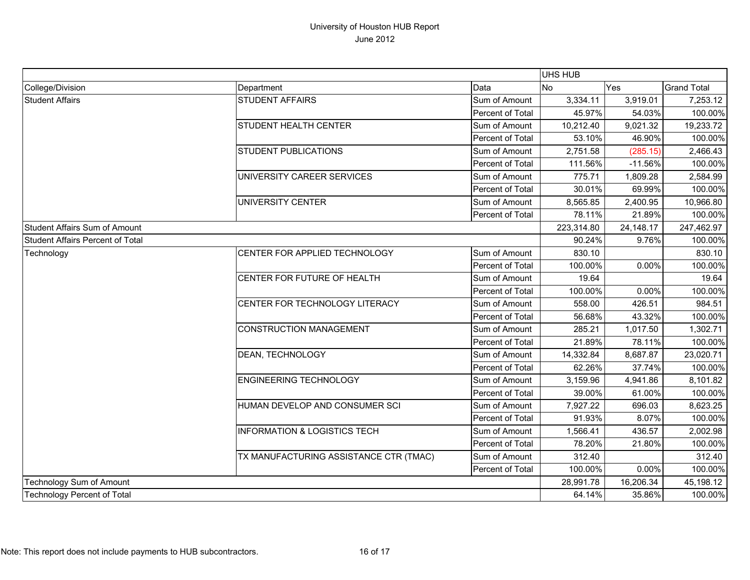|                                         |                                         |                  | UHS HUB   |            |                    |
|-----------------------------------------|-----------------------------------------|------------------|-----------|------------|--------------------|
| College/Division                        | Department                              | Data             | No<br>Yes |            | <b>Grand Total</b> |
| <b>Student Affairs</b>                  | STUDENT AFFAIRS                         | Sum of Amount    | 3,334.11  | 3,919.01   | 7,253.12           |
|                                         |                                         | Percent of Total | 45.97%    | 54.03%     | 100.00%            |
|                                         | <b>STUDENT HEALTH CENTER</b>            | Sum of Amount    | 10,212.40 | 9,021.32   | 19,233.72          |
|                                         |                                         | Percent of Total | 53.10%    | 46.90%     | 100.00%            |
|                                         | <b>STUDENT PUBLICATIONS</b>             | Sum of Amount    | 2,751.58  | (285.15)   | 2,466.43           |
|                                         |                                         | Percent of Total | 111.56%   | $-11.56%$  | 100.00%            |
|                                         | UNIVERSITY CAREER SERVICES              | Sum of Amount    | 775.71    | 1,809.28   | 2,584.99           |
|                                         |                                         | Percent of Total | 30.01%    | 69.99%     | 100.00%            |
|                                         | UNIVERSITY CENTER                       | Sum of Amount    | 8,565.85  | 2,400.95   | 10,966.80          |
|                                         |                                         | Percent of Total | 78.11%    | 21.89%     | 100.00%            |
| <b>Student Affairs Sum of Amount</b>    |                                         | 223,314.80       | 24,148.17 | 247,462.97 |                    |
| <b>Student Affairs Percent of Total</b> |                                         |                  | 90.24%    | 9.76%      | 100.00%            |
| Technology                              | CENTER FOR APPLIED TECHNOLOGY           | Sum of Amount    | 830.10    |            | 830.10             |
|                                         |                                         | Percent of Total | 100.00%   | 0.00%      | 100.00%            |
|                                         | CENTER FOR FUTURE OF HEALTH             | Sum of Amount    | 19.64     |            | 19.64              |
|                                         |                                         | Percent of Total | 100.00%   | 0.00%      | 100.00%            |
|                                         | CENTER FOR TECHNOLOGY LITERACY          | Sum of Amount    | 558.00    | 426.51     | 984.51             |
|                                         |                                         | Percent of Total | 56.68%    | 43.32%     | 100.00%            |
|                                         | <b>CONSTRUCTION MANAGEMENT</b>          | Sum of Amount    | 285.21    | 1,017.50   | 1,302.71           |
|                                         |                                         | Percent of Total | 21.89%    | 78.11%     | 100.00%            |
|                                         | DEAN, TECHNOLOGY                        | Sum of Amount    | 14,332.84 | 8,687.87   | 23,020.71          |
|                                         |                                         | Percent of Total | 62.26%    | 37.74%     | 100.00%            |
|                                         | <b>ENGINEERING TECHNOLOGY</b>           | Sum of Amount    | 3,159.96  | 4,941.86   | 8,101.82           |
|                                         |                                         | Percent of Total | 39.00%    | 61.00%     | 100.00%            |
|                                         | HUMAN DEVELOP AND CONSUMER SCI          | Sum of Amount    | 7,927.22  | 696.03     | 8,623.25           |
|                                         |                                         | Percent of Total | 91.93%    | 8.07%      | 100.00%            |
|                                         | <b>INFORMATION &amp; LOGISTICS TECH</b> | Sum of Amount    | 1,566.41  | 436.57     | 2,002.98           |
|                                         |                                         | Percent of Total | 78.20%    | 21.80%     | 100.00%            |
|                                         | TX MANUFACTURING ASSISTANCE CTR (TMAC)  | Sum of Amount    | 312.40    |            | 312.40             |
|                                         |                                         | Percent of Total | 100.00%   | 0.00%      | 100.00%            |
| Technology Sum of Amount                |                                         | 28,991.78        | 16,206.34 | 45,198.12  |                    |
| <b>Technology Percent of Total</b>      |                                         | 64.14%           | 35.86%    | 100.00%    |                    |